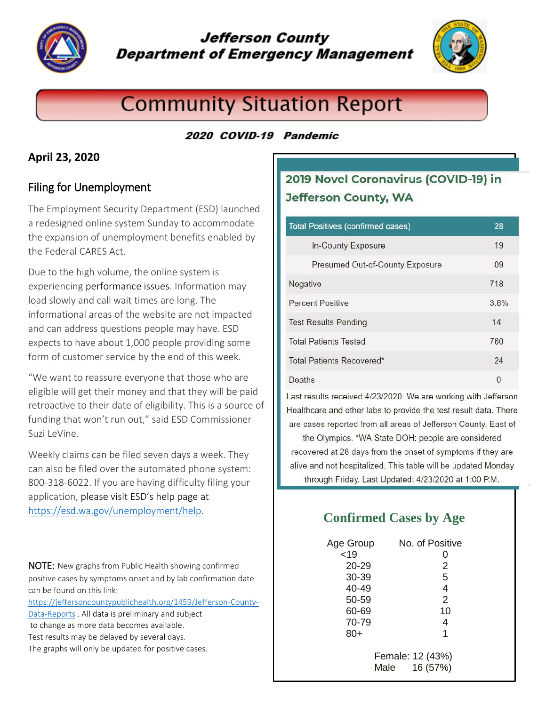

# **Jefferson County Department of Emergency Management**



# **Community Situation Report**

#### 2020 COVID-19 Pandemic

#### **April 23, 2020**

## Filing for Unemployment

The Employment Security Department (ESD) launched a redesigned online system Sunday to accommodate the expansion of unemployment benefits enabled by the Federal CARES Act.

Due to the high volume, the online system is experiencing [performance issues.](https://esd.wa.gov/unemployment/technical-support) Information may load slowly and call wait times are long. The informational areas of the website are not impacted and can address questions people may have. ESD expects to have about 1,000 people providing some form of customer service by the end of this week.

"We want to reassure everyone that those who are eligible will get their money and that they will be paid retroactive to their date of eligibility. This is a source of funding that won't run out," said ESD Commissioner Suzi LeVine.

Weekly claims can be filed seven days a week. They can also be filed over the automated phone system: 800-318-6022. If you are having difficulty filing your application, [please visit ESD's help page](https://esd.wa.gov/unemployment/help) at <https://esd.wa.gov/unemployment/help>.

NOTE: New graphs from Public Health showing confirmed positive cases by symptoms onset and by lab confirmation date can be found on this link:

[https://jeffersoncountypublichealth.org/1459/Jefferson-County-](https://jeffersoncountypublichealth.org/1459/Jefferson-County-Data-Reports)[Data-Reports](https://jeffersoncountypublichealth.org/1459/Jefferson-County-Data-Reports) . All data is preliminary and subject

- to change as more data becomes available.
- Test results may be delayed by several days.
- The graphs will only be updated for positive cases.

# 2019 Novel Coronavirus (COVID-19) in **Jefferson County, WA**

| <b>Total Positives (confirmed cases)</b> | 28       |
|------------------------------------------|----------|
| <b>In-County Exposure</b>                | 19       |
| Presumed Out-of-County Exposure          | 09       |
| Negative                                 | 718      |
| <b>Percent Positive</b>                  | 3.8%     |
| <b>Test Results Pending</b>              | 14       |
| <b>Total Patients Tested</b>             | 760      |
| Total Patients Recovered*                | 24       |
| Deaths                                   | $\Omega$ |

Last results received 4/23/2020. We are working with Jefferson Healthcare and other labs to provide the test result data. There are cases reported from all areas of Jefferson County, East of

the Olympics. \*WA State DOH: people are considered recovered at 28 days from the onset of symptoms if they are alive and not hospitalized. This table will be updated Monday through Friday. Last Updated: 4/23/2020 at 1:00 P.M.

# **Confirmed Cases by Age**

| Age Group<br>< 19<br>20-29<br>30-39 | No. of Positive<br>O<br>2<br>5       |
|-------------------------------------|--------------------------------------|
| 40-49                               | 4                                    |
| 50-59                               | $\overline{2}$                       |
| 60-69                               | 10                                   |
| 70-79                               | 4                                    |
| $80+$                               | 1                                    |
|                                     | Female: 12 (43%)<br>16 (57%)<br>Male |